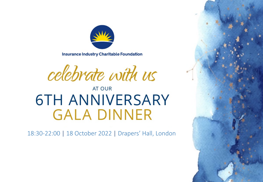

**Insurance Industry Charitable Foundation** 

celebrate with us

# **AT OUR 6TH ANNIVERSARY GALA DINNER**

18:30-22:00 | 18 October 2022 | Drapers' Hall, London

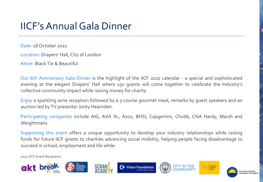## IICF's Annual Gala Dinner

Date: 18 October 2022

Location: Drapers' Hall, City of London

Attire: Black Tie & Beautiful

Our 6th Anniversary Gala Dinner is the highlight of the IICF 2022 calendar - a special and sophisticated evening at the elegant Drapers' Hall where 150 guests will come together to celebrate the Industry's collective community impact while raising money for charity.

Enjoy a sparkling wine reception followed by a 3-course gourmet meal, remarks by guest speakers and an auction led by TV presenter Jonty Hearnden.

Participating companies include AIG, AXA XL, Axco, BHSI, Capgemini, Chubb, CNA Hardy, Marsh and Weightmans.

Supporting this event offers a unique opportunity to develop your industry relationships while raising funds for future IICF grants to charities advancing social mobility, helping people facing disadvantage to succeed in school, employment and life while.

2022 IICF Grant Recipients

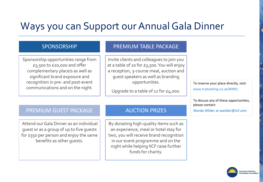#### Ways you can Support our Annual Gala Dinner

Sponsorship opportunities range from £3,500 to £20,000 and offer complementary place/s as well as significant brand exposure and recognition in pre- and post-event communications and on the night.

#### SPONSORSHIP PREMIUM TABLE PACKAGE

Invite clients and colleagues to join you at a table of 10 for £3,500. You will enjoy a reception, 3-course meal, auction and guest speakers as well as branding opportunities.

Upgrade to a table of 12 for £4,000.

To reserve your place directly, visit: www.trybooking.co.uk/BHRQ

To discuss any of these opportunities, please contact:

Wendy Wilder at wwilder@iicf.com

#### PREMIUM GUEST PACKAGE AUCTION PRIZES

Attend our Gala Dinner as an individual guest or as a group of up to five guests for £350 per person and enjoy the same benefits as other guests.

By donating high-quality items such as an experience, meal or hotel stay for two, you will receive brand recognition in our event programme and on the night while helping IICF raise further funds for charity.

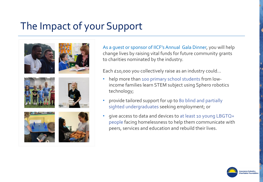## The Impact of your Support





Each £10,000 you collectively raise as an industry could…

- help more than 100 primary school students from lowincome families learn STEM subject using Sphero robotics technology;
- provide tailored support for up to 80 blind and partially sighted undergraduates seeking employment; or
- give access to data and devices to at least 10 young LBGTQ+ people facing homelessness to help them communicate with peers, services and education and rebuild their lives.

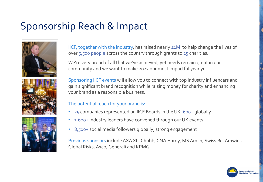## Sponsorship Reach & Impact





IICF, together with the industry, has raised nearly £1M to help change the lives of over 5,500 people across the country through grants to 25 charities.

We're very proud of all that we've achieved, yet needs remain great in our community and we want to make 2022 our most impactful year yet.

Sponsoring IICF events will allow you to connect with top industry influencers and gain significant brand recognition while raising money for charity and enhancing your brand as a responsible business.

#### The potential reach for your brand is:

- 25 companies represented on IICF Boards in the UK, 600+ globally
- 1,600+ industry leaders have convened through our UK events
- 8,500+ social media followers globally; strong engagement

Previous sponsors include AXA XL, Chubb, CNA Hardy, MS Amlin, Swiss Re, Amwins Global Risks, Axco, Generali and KPMG.

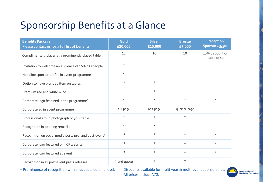## Sponsorship Benefits at a Glance

| <b>Benefits Package</b><br>Please contact us for a full list of benefits. | Gold<br>£20,000 | <b>Silver</b><br>£15,000 | <b>Bronze</b><br>£7,000 | <b>Reception</b><br>Sponsor £3,500 |
|---------------------------------------------------------------------------|-----------------|--------------------------|-------------------------|------------------------------------|
| Complimentary places at a prominently placed table                        | 12              | 10                       | 10                      | 10% discount on<br>table of 10     |
| Invitation to welcome an audience of 150-200 people                       | $\ast$          |                          |                         |                                    |
| Headline sponsor profile in event programme                               | $\ast$          |                          |                         |                                    |
| Option to have branded item on tables                                     | $\ast$          | $\ast$                   |                         |                                    |
| Premium red and white wine                                                | $\ast$          | $\ast$                   |                         |                                    |
| Corporate logo featured in the programme <sup>+</sup>                     | $\ast$          | $\ast$                   | $\ast$                  | $\ast$                             |
| Corporate ad in event programme                                           | full-page       | half-page                | quarter-page            |                                    |
| Professional group photograph of your table                               | $\ast$          | $\ast$                   | $\ast$                  |                                    |
| Recognition in opening remarks                                            | $\ast$          | $\ast$                   | $\ast$                  |                                    |
| Recognition on social media posts pre- and post-event+                    | $\ast$          | $\ast$                   | $\ast$                  | $\ast$                             |
| Corporate logo featured on IICF website <sup>+</sup>                      | $\ast$          | $\ast$                   | $\ast$                  | $\ast$                             |
| Corporate logo featured at event <sup>+</sup>                             | $\ast$          | $\ast$                   | $\ast$                  | $\ast$                             |
| Recognition in all post-event press releases                              | * and quote     | $\ast$                   | $\ast$                  |                                    |

+ Prominence of recognition will reflect sponsorship level. Discounts available for multi-year & multi-event sponsorships. All prices include VAT.

**Insurance Industry<br>Charitable Foundation**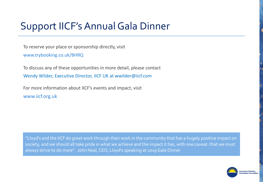### Support IICF's Annual Gala Dinner

To reserve your place or sponsorship directly, visit www.trybooking.co.uk/BHRQ

To discuss any of these opportunities in more detail, please contact Wendy Wilder, Executive Director, IICF UK at wwilder@iicf.com

For more information about IICF's events and impact, visit www.iicf.org.uk

"Lloyd's and the IICF do great work through their work in the community that has a hugely positive impact on society, and we should all take pride in what we achieve and the impact it has, with one caveat: that we must always strive to do more". John Neal, CEO, Lloyd's speaking at 2019 Gala Dinner